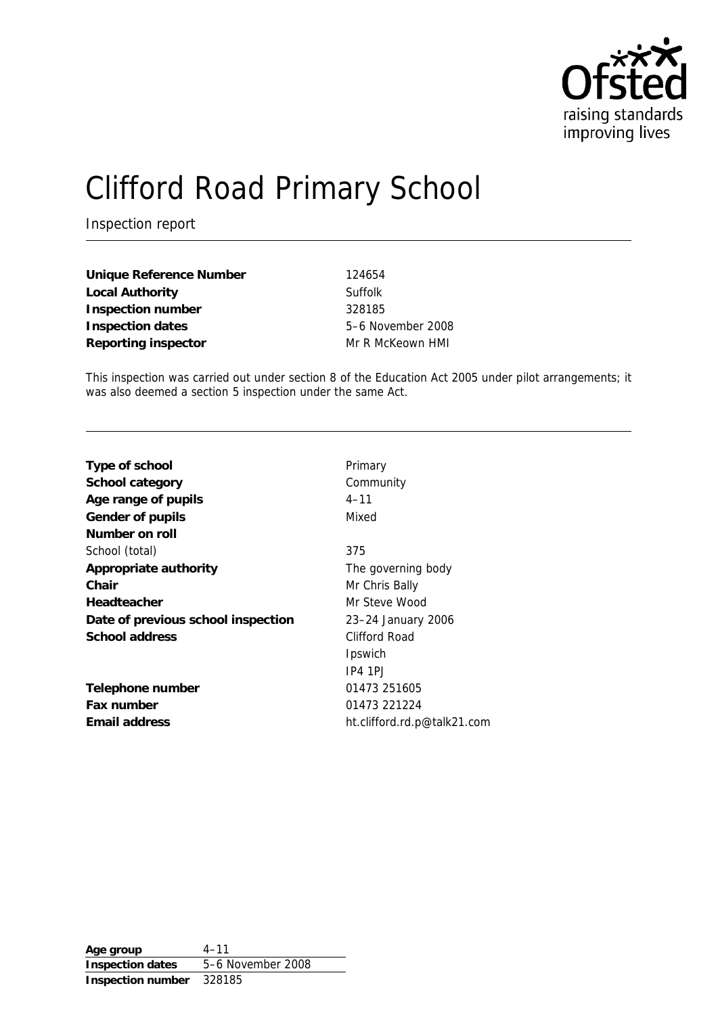

# Clifford Road Primary School

Inspection report

| Unique Reference Number |  |
|-------------------------|--|
| Local Authority         |  |
| Inspection number       |  |
| Inspection dates        |  |
| Reporting inspector     |  |

**Unique Reference Number** 124654 **Suffolk Inspection number** 328185 **Inspection dates** 5–6 November 2008 **Mr R McKeown HMI** 

This inspection was carried out under section 8 of the Education Act 2005 under pilot arrangements; it was also deemed a section 5 inspection under the same Act.

| Type of school                     | Primary                     |
|------------------------------------|-----------------------------|
| School category                    | Community                   |
| Age range of pupils                | $4 - 11$                    |
| Gender of pupils                   | Mixed                       |
| Number on roll                     |                             |
| School (total)                     | 375                         |
| Appropriate authority              | The governing body          |
| Chair                              | Mr Chris Bally              |
| Headteacher                        | Mr Steve Wood               |
| Date of previous school inspection | 23–24 January 2006          |
| School address                     | Clifford Road               |
|                                    | Ipswich                     |
|                                    | $IP4$ 1PJ                   |
| Telephone number                   | 01473 251605                |
| Fax number                         | 01473 221224                |
| Email address                      | ht.clifford.rd.p@talk21.com |

**Age group** 4–11 **Inspection dates** 5–6 November 2008 **Inspection number** 328185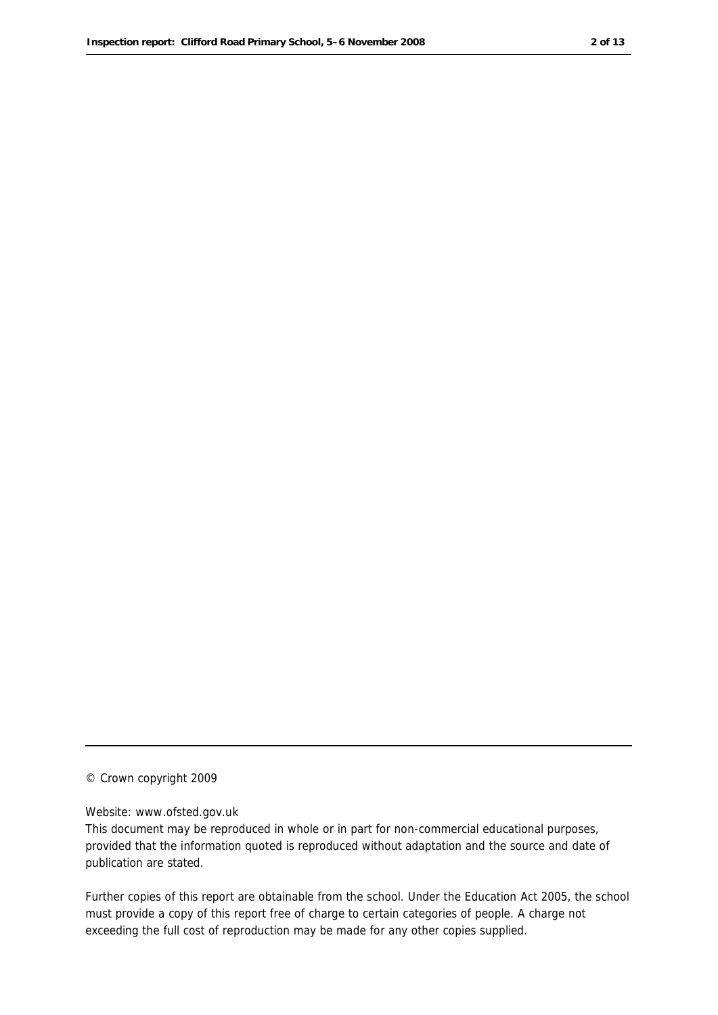© Crown copyright 2009

#### Website: www.ofsted.gov.uk

This document may be reproduced in whole or in part for non-commercial educational purposes, provided that the information quoted is reproduced without adaptation and the source and date of publication are stated.

Further copies of this report are obtainable from the school. Under the Education Act 2005, the school must provide a copy of this report free of charge to certain categories of people. A charge not exceeding the full cost of reproduction may be made for any other copies supplied.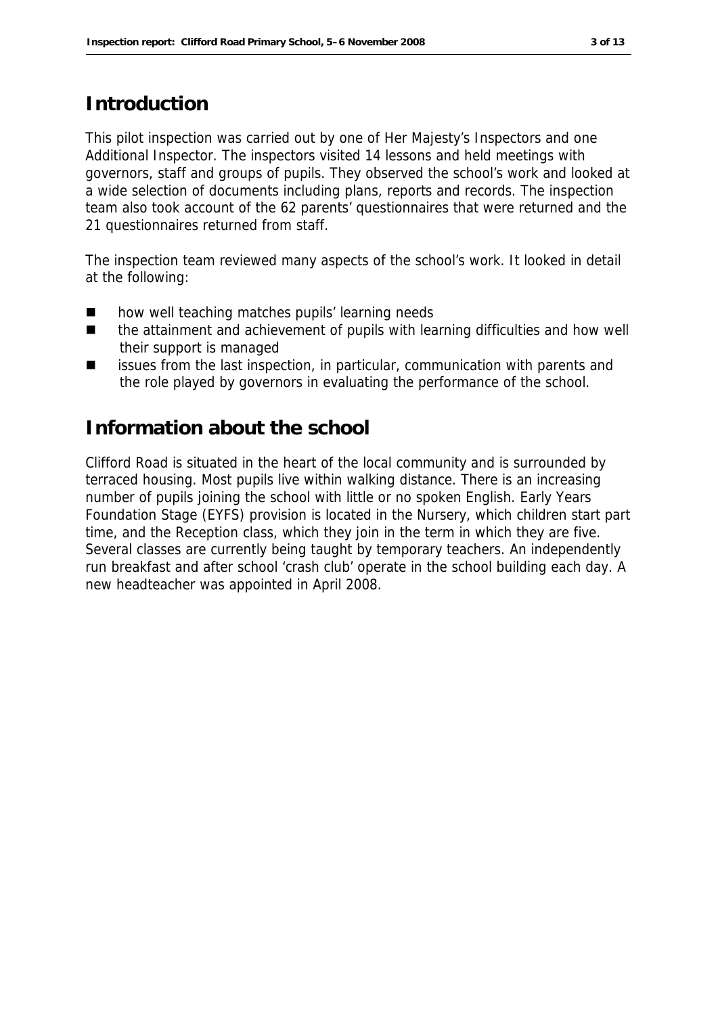### **Introduction**

This pilot inspection was carried out by one of Her Majesty's Inspectors and one Additional Inspector. The inspectors visited 14 lessons and held meetings with governors, staff and groups of pupils. They observed the school's work and looked at a wide selection of documents including plans, reports and records. The inspection team also took account of the 62 parents' questionnaires that were returned and the 21 questionnaires returned from staff.

The inspection team reviewed many aspects of the school's work. It looked in detail at the following:

- how well teaching matches pupils' learning needs
- the attainment and achievement of pupils with learning difficulties and how well their support is managed
- issues from the last inspection, in particular, communication with parents and the role played by governors in evaluating the performance of the school.

#### **Information about the school**

Clifford Road is situated in the heart of the local community and is surrounded by terraced housing. Most pupils live within walking distance. There is an increasing number of pupils joining the school with little or no spoken English. Early Years Foundation Stage (EYFS) provision is located in the Nursery, which children start part time, and the Reception class, which they join in the term in which they are five. Several classes are currently being taught by temporary teachers. An independently run breakfast and after school 'crash club' operate in the school building each day. A new headteacher was appointed in April 2008.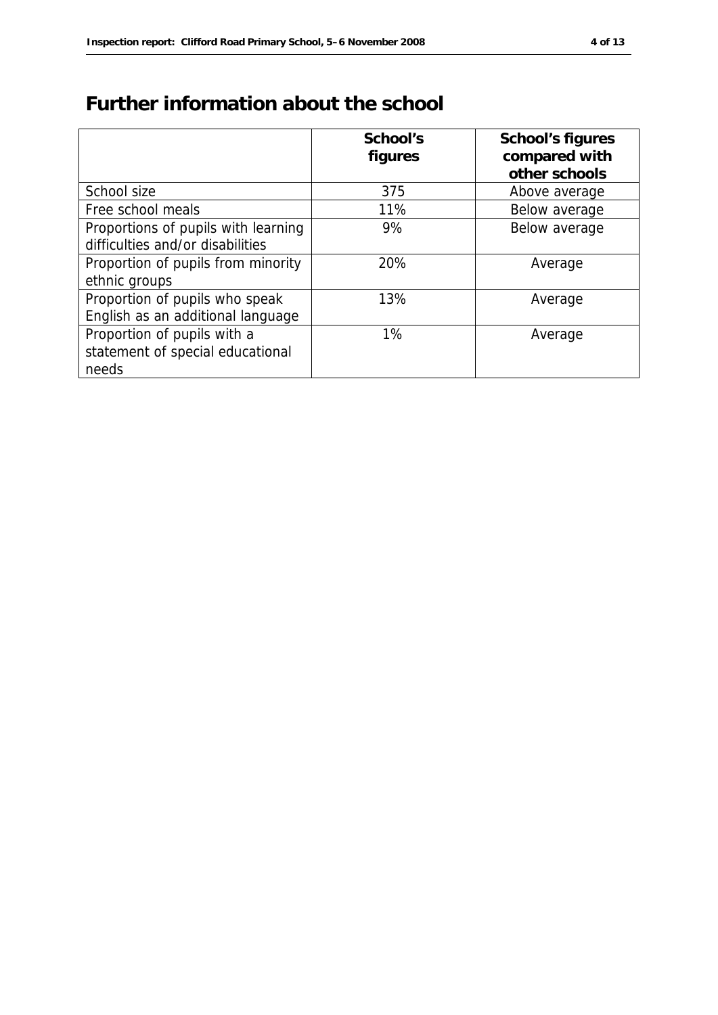# **Further information about the school**

|                                     | School's | School's figures |
|-------------------------------------|----------|------------------|
|                                     | figures  | compared with    |
|                                     |          | other schools    |
| School size                         | 375      | Above average    |
| Free school meals                   | 11%      | Below average    |
| Proportions of pupils with learning | 9%       | Below average    |
| difficulties and/or disabilities    |          |                  |
| Proportion of pupils from minority  | 20%      | Average          |
| ethnic groups                       |          |                  |
| Proportion of pupils who speak      | 13%      | Average          |
| English as an additional language   |          |                  |
| Proportion of pupils with a         | 1%       | Average          |
| statement of special educational    |          |                  |
| needs                               |          |                  |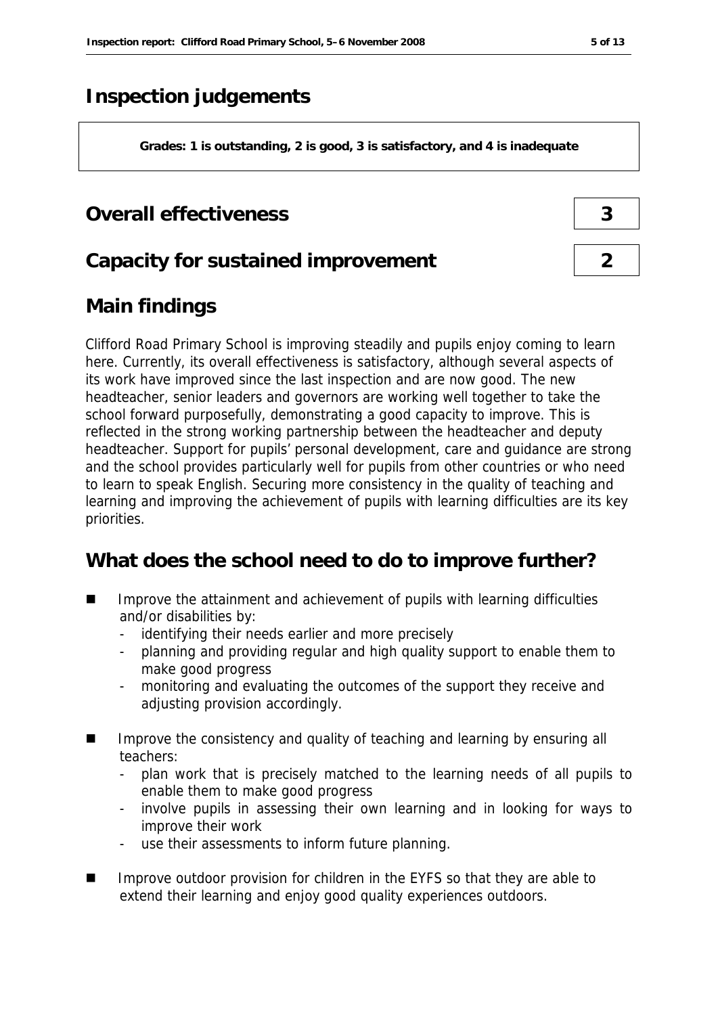# **Inspection judgements**

**Grades: 1 is outstanding, 2 is good, 3 is satisfactory, and 4 is inadequate**

#### **Overall effectiveness 3**

#### **Capacity for sustained improvement 2**

## **Main findings**

Clifford Road Primary School is improving steadily and pupils enjoy coming to learn here. Currently, its overall effectiveness is satisfactory, although several aspects of its work have improved since the last inspection and are now good. The new headteacher, senior leaders and governors are working well together to take the school forward purposefully, demonstrating a good capacity to improve. This is reflected in the strong working partnership between the headteacher and deputy headteacher. Support for pupils' personal development, care and guidance are strong and the school provides particularly well for pupils from other countries or who need to learn to speak English. Securing more consistency in the quality of teaching and learning and improving the achievement of pupils with learning difficulties are its key priorities.

#### **What does the school need to do to improve further?**

- Improve the attainment and achievement of pupils with learning difficulties and/or disabilities by:
	- identifying their needs earlier and more precisely
	- planning and providing regular and high quality support to enable them to make good progress
	- monitoring and evaluating the outcomes of the support they receive and adjusting provision accordingly.
- Improve the consistency and quality of teaching and learning by ensuring all teachers:
	- plan work that is precisely matched to the learning needs of all pupils to enable them to make good progress
	- involve pupils in assessing their own learning and in looking for ways to improve their work
	- use their assessments to inform future planning.
- Improve outdoor provision for children in the EYFS so that they are able to extend their learning and enjoy good quality experiences outdoors.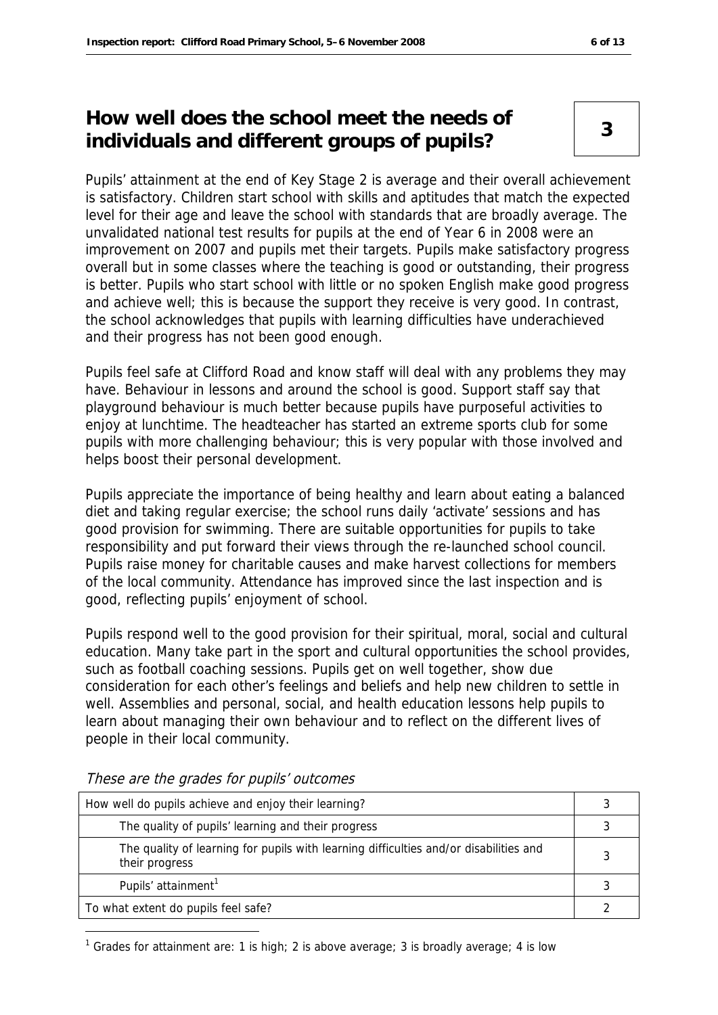### **How well does the school meet the needs of individuals and different groups of pupils? <sup>3</sup>**

Pupils' attainment at the end of Key Stage 2 is average and their overall achievement is satisfactory. Children start school with skills and aptitudes that match the expected level for their age and leave the school with standards that are broadly average. The unvalidated national test results for pupils at the end of Year 6 in 2008 were an improvement on 2007 and pupils met their targets. Pupils make satisfactory progress overall but in some classes where the teaching is good or outstanding, their progress is better. Pupils who start school with little or no spoken English make good progress and achieve well; this is because the support they receive is very good. In contrast, the school acknowledges that pupils with learning difficulties have underachieved and their progress has not been good enough.

Pupils feel safe at Clifford Road and know staff will deal with any problems they may have. Behaviour in lessons and around the school is good. Support staff say that playground behaviour is much better because pupils have purposeful activities to enjoy at lunchtime. The headteacher has started an extreme sports club for some pupils with more challenging behaviour; this is very popular with those involved and helps boost their personal development.

Pupils appreciate the importance of being healthy and learn about eating a balanced diet and taking regular exercise; the school runs daily 'activate' sessions and has good provision for swimming. There are suitable opportunities for pupils to take responsibility and put forward their views through the re-launched school council. Pupils raise money for charitable causes and make harvest collections for members of the local community. Attendance has improved since the last inspection and is good, reflecting pupils' enjoyment of school.

Pupils respond well to the good provision for their spiritual, moral, social and cultural education. Many take part in the sport and cultural opportunities the school provides, such as football coaching sessions. Pupils get on well together, show due consideration for each other's feelings and beliefs and help new children to settle in well. Assemblies and personal, social, and health education lessons help pupils to learn about managing their own behaviour and to reflect on the different lives of people in their local community.

| How well do pupils achieve and enjoy their learning?                                                    |  |
|---------------------------------------------------------------------------------------------------------|--|
| The quality of pupils' learning and their progress                                                      |  |
| The quality of learning for pupils with learning difficulties and/or disabilities and<br>their progress |  |
| Pupils' attainment <sup>1</sup>                                                                         |  |
| To what extent do pupils feel safe?                                                                     |  |

These are the grades for pupils' outcomes

-

<sup>1</sup> Grades for attainment are: 1 is high; 2 is above average; 3 is broadly average; 4 is low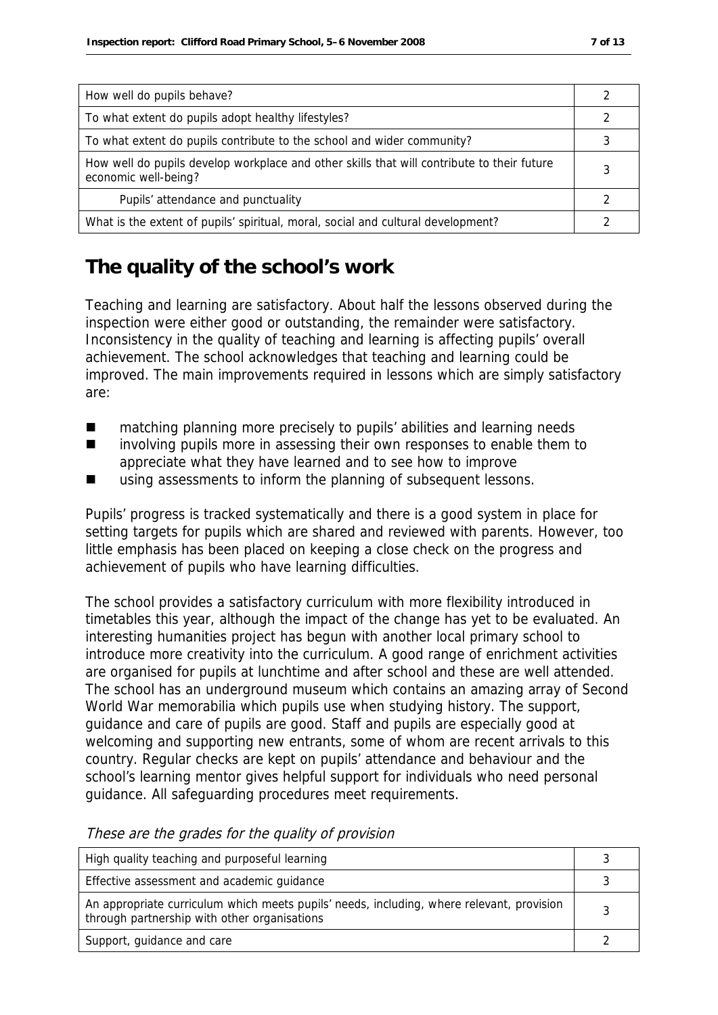| How well do pupils behave?                                                                                         |  |
|--------------------------------------------------------------------------------------------------------------------|--|
| To what extent do pupils adopt healthy lifestyles?                                                                 |  |
| To what extent do pupils contribute to the school and wider community?                                             |  |
| How well do pupils develop workplace and other skills that will contribute to their future<br>economic well-being? |  |
| Pupils' attendance and punctuality                                                                                 |  |
| What is the extent of pupils' spiritual, moral, social and cultural development?                                   |  |

### **The quality of the school's work**

Teaching and learning are satisfactory. About half the lessons observed during the inspection were either good or outstanding, the remainder were satisfactory. Inconsistency in the quality of teaching and learning is affecting pupils' overall achievement. The school acknowledges that teaching and learning could be improved. The main improvements required in lessons which are simply satisfactory are:

- matching planning more precisely to pupils' abilities and learning needs
- involving pupils more in assessing their own responses to enable them to appreciate what they have learned and to see how to improve
- using assessments to inform the planning of subsequent lessons.

Pupils' progress is tracked systematically and there is a good system in place for setting targets for pupils which are shared and reviewed with parents. However, too little emphasis has been placed on keeping a close check on the progress and achievement of pupils who have learning difficulties.

The school provides a satisfactory curriculum with more flexibility introduced in timetables this year, although the impact of the change has yet to be evaluated. An interesting humanities project has begun with another local primary school to introduce more creativity into the curriculum. A good range of enrichment activities are organised for pupils at lunchtime and after school and these are well attended. The school has an underground museum which contains an amazing array of Second World War memorabilia which pupils use when studying history. The support, guidance and care of pupils are good. Staff and pupils are especially good at welcoming and supporting new entrants, some of whom are recent arrivals to this country. Regular checks are kept on pupils' attendance and behaviour and the school's learning mentor gives helpful support for individuals who need personal guidance. All safeguarding procedures meet requirements.

| High quality teaching and purposeful learning                                                                                             |   |
|-------------------------------------------------------------------------------------------------------------------------------------------|---|
| Effective assessment and academic guidance                                                                                                |   |
| An appropriate curriculum which meets pupils' needs, including, where relevant, provision<br>through partnership with other organisations | 2 |
| Support, guidance and care                                                                                                                |   |

These are the grades for the quality of provision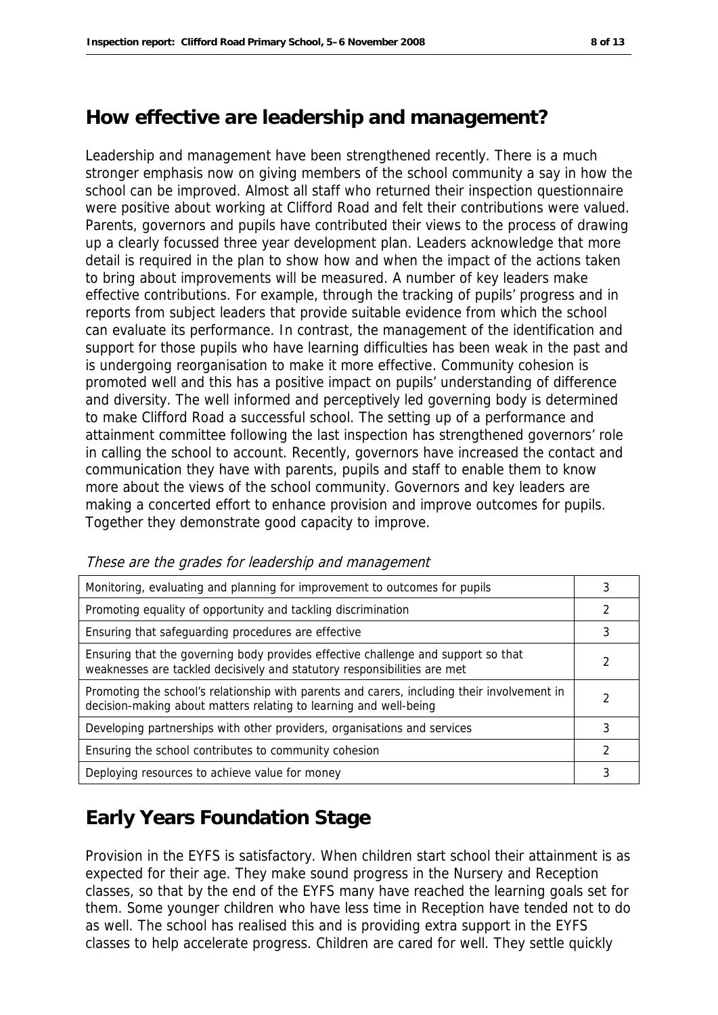#### **How effective are leadership and management?**

Leadership and management have been strengthened recently. There is a much stronger emphasis now on giving members of the school community a say in how the school can be improved. Almost all staff who returned their inspection questionnaire were positive about working at Clifford Road and felt their contributions were valued. Parents, governors and pupils have contributed their views to the process of drawing up a clearly focussed three year development plan. Leaders acknowledge that more detail is required in the plan to show how and when the impact of the actions taken to bring about improvements will be measured. A number of key leaders make effective contributions. For example, through the tracking of pupils' progress and in reports from subject leaders that provide suitable evidence from which the school can evaluate its performance. In contrast, the management of the identification and support for those pupils who have learning difficulties has been weak in the past and is undergoing reorganisation to make it more effective. Community cohesion is promoted well and this has a positive impact on pupils' understanding of difference and diversity. The well informed and perceptively led governing body is determined to make Clifford Road a successful school. The setting up of a performance and attainment committee following the last inspection has strengthened governors' role in calling the school to account. Recently, governors have increased the contact and communication they have with parents, pupils and staff to enable them to know more about the views of the school community. Governors and key leaders are making a concerted effort to enhance provision and improve outcomes for pupils. Together they demonstrate good capacity to improve.

| Monitoring, evaluating and planning for improvement to outcomes for pupils                                                                                       | 3 |
|------------------------------------------------------------------------------------------------------------------------------------------------------------------|---|
| Promoting equality of opportunity and tackling discrimination                                                                                                    | 2 |
| Ensuring that safeguarding procedures are effective                                                                                                              | 3 |
| Ensuring that the governing body provides effective challenge and support so that<br>weaknesses are tackled decisively and statutory responsibilities are met    |   |
| Promoting the school's relationship with parents and carers, including their involvement in<br>decision-making about matters relating to learning and well-being | 2 |
| Developing partnerships with other providers, organisations and services                                                                                         | 3 |
| Ensuring the school contributes to community cohesion                                                                                                            | 2 |
| Deploying resources to achieve value for money                                                                                                                   | 3 |

These are the grades for leadership and management

#### **Early Years Foundation Stage**

Provision in the EYFS is satisfactory. When children start school their attainment is as expected for their age. They make sound progress in the Nursery and Reception classes, so that by the end of the EYFS many have reached the learning goals set for them. Some younger children who have less time in Reception have tended not to do as well. The school has realised this and is providing extra support in the EYFS classes to help accelerate progress. Children are cared for well. They settle quickly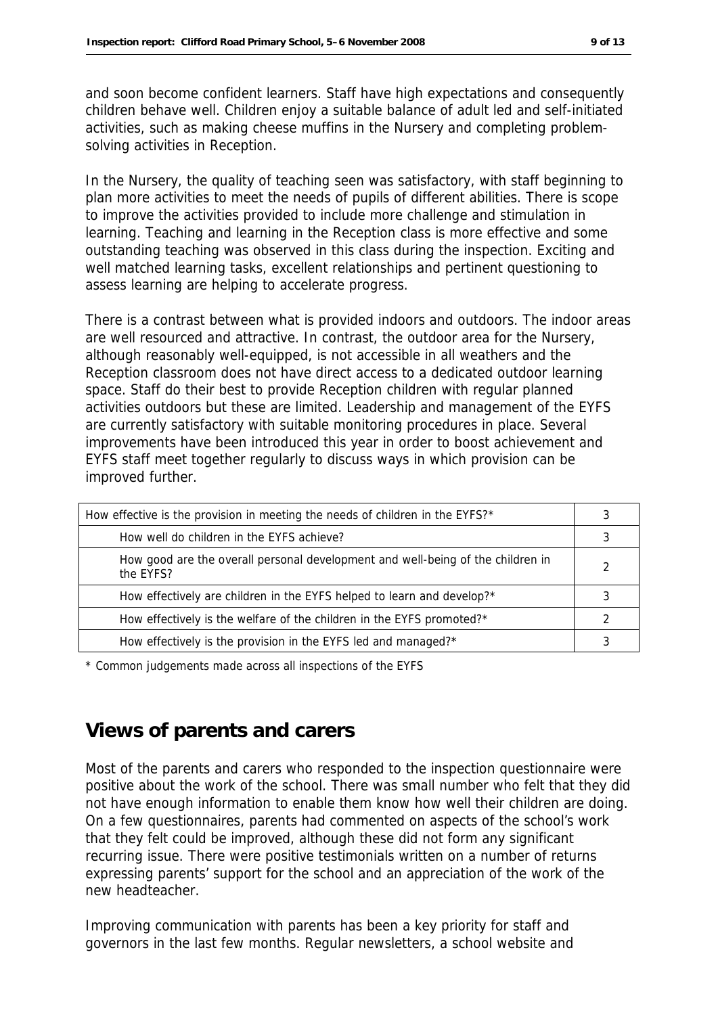and soon become confident learners. Staff have high expectations and consequently children behave well. Children enjoy a suitable balance of adult led and self-initiated activities, such as making cheese muffins in the Nursery and completing problemsolving activities in Reception.

In the Nursery, the quality of teaching seen was satisfactory, with staff beginning to plan more activities to meet the needs of pupils of different abilities. There is scope to improve the activities provided to include more challenge and stimulation in learning. Teaching and learning in the Reception class is more effective and some outstanding teaching was observed in this class during the inspection. Exciting and well matched learning tasks, excellent relationships and pertinent questioning to assess learning are helping to accelerate progress.

There is a contrast between what is provided indoors and outdoors. The indoor areas are well resourced and attractive. In contrast, the outdoor area for the Nursery, although reasonably well-equipped, is not accessible in all weathers and the Reception classroom does not have direct access to a dedicated outdoor learning space. Staff do their best to provide Reception children with regular planned activities outdoors but these are limited. Leadership and management of the EYFS are currently satisfactory with suitable monitoring procedures in place. Several improvements have been introduced this year in order to boost achievement and EYFS staff meet together regularly to discuss ways in which provision can be improved further.

| How effective is the provision in meeting the needs of children in the EYFS?*                |  |
|----------------------------------------------------------------------------------------------|--|
| How well do children in the EYFS achieve?                                                    |  |
| How good are the overall personal development and well-being of the children in<br>the FYFS? |  |
| How effectively are children in the EYFS helped to learn and develop?*                       |  |
| How effectively is the welfare of the children in the EYFS promoted?*                        |  |
| How effectively is the provision in the EYFS led and managed?*                               |  |

\* Common judgements made across all inspections of the EYFS

#### **Views of parents and carers**

Most of the parents and carers who responded to the inspection questionnaire were positive about the work of the school. There was small number who felt that they did not have enough information to enable them know how well their children are doing. On a few questionnaires, parents had commented on aspects of the school's work that they felt could be improved, although these did not form any significant recurring issue. There were positive testimonials written on a number of returns expressing parents' support for the school and an appreciation of the work of the new headteacher.

Improving communication with parents has been a key priority for staff and governors in the last few months. Regular newsletters, a school website and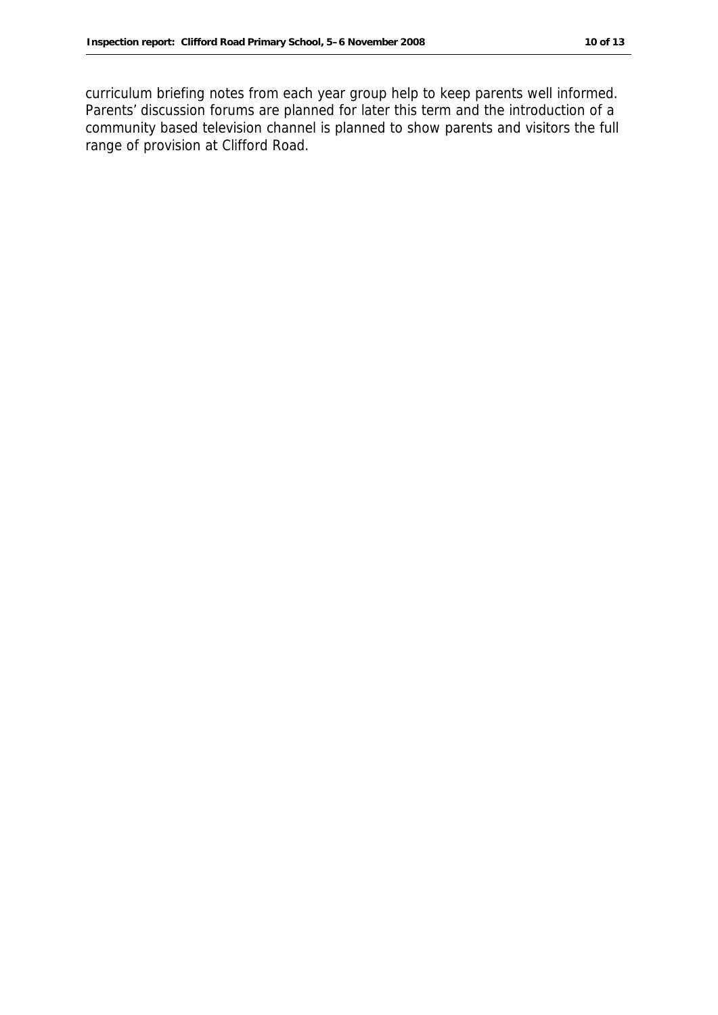curriculum briefing notes from each year group help to keep parents well informed. Parents' discussion forums are planned for later this term and the introduction of a community based television channel is planned to show parents and visitors the full range of provision at Clifford Road.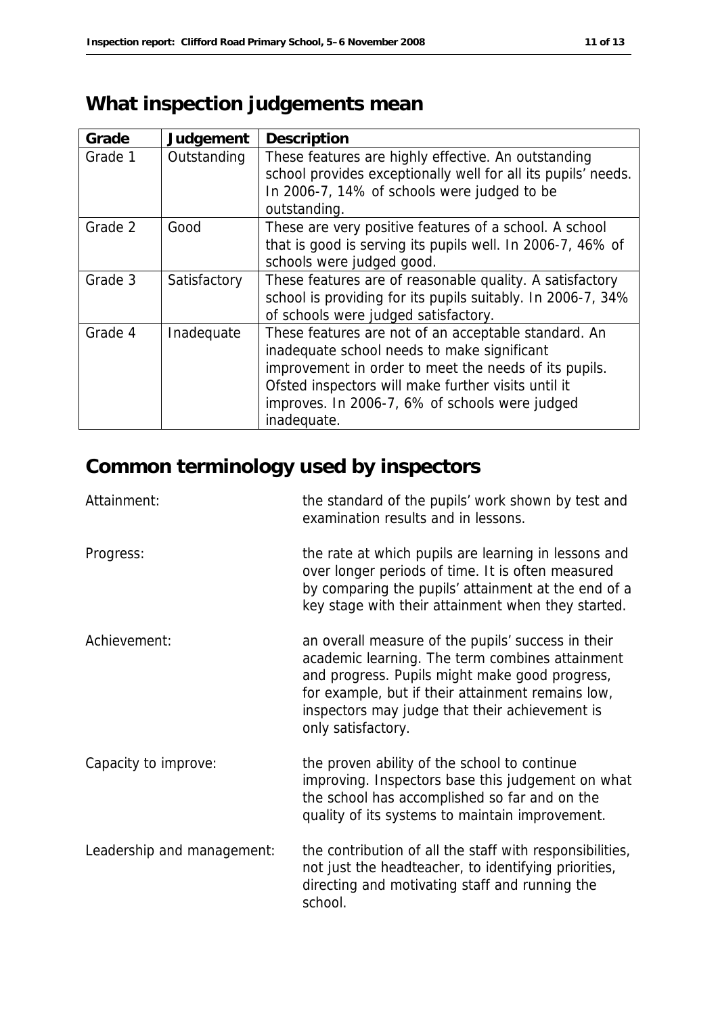# **What inspection judgements mean**

| Grade   | Judgement    | Description                                                                                                                                                                                                                                                                          |
|---------|--------------|--------------------------------------------------------------------------------------------------------------------------------------------------------------------------------------------------------------------------------------------------------------------------------------|
| Grade 1 | Outstanding  | These features are highly effective. An outstanding<br>school provides exceptionally well for all its pupils' needs.<br>In 2006-7, 14% of schools were judged to be<br>outstanding.                                                                                                  |
| Grade 2 | Good         | These are very positive features of a school. A school<br>that is good is serving its pupils well. In 2006-7, 46% of<br>schools were judged good.                                                                                                                                    |
| Grade 3 | Satisfactory | These features are of reasonable quality. A satisfactory<br>school is providing for its pupils suitably. In 2006-7, 34%<br>of schools were judged satisfactory.                                                                                                                      |
| Grade 4 | Inadequate   | These features are not of an acceptable standard. An<br>inadequate school needs to make significant<br>improvement in order to meet the needs of its pupils.<br>Ofsted inspectors will make further visits until it<br>improves. In 2006-7, 6% of schools were judged<br>inadequate. |

# **Common terminology used by inspectors**

| Attainment:                | the standard of the pupils' work shown by test and<br>examination results and in lessons.                                                                                                                                                                                            |
|----------------------------|--------------------------------------------------------------------------------------------------------------------------------------------------------------------------------------------------------------------------------------------------------------------------------------|
| Progress:                  | the rate at which pupils are learning in lessons and<br>over longer periods of time. It is often measured<br>by comparing the pupils' attainment at the end of a<br>key stage with their attainment when they started.                                                               |
| Achievement:               | an overall measure of the pupils' success in their<br>academic learning. The term combines attainment<br>and progress. Pupils might make good progress,<br>for example, but if their attainment remains low,<br>inspectors may judge that their achievement is<br>only satisfactory. |
| Capacity to improve:       | the proven ability of the school to continue<br>improving. Inspectors base this judgement on what<br>the school has accomplished so far and on the<br>quality of its systems to maintain improvement.                                                                                |
| Leadership and management: | the contribution of all the staff with responsibilities,<br>not just the headteacher, to identifying priorities,<br>directing and motivating staff and running the<br>school.                                                                                                        |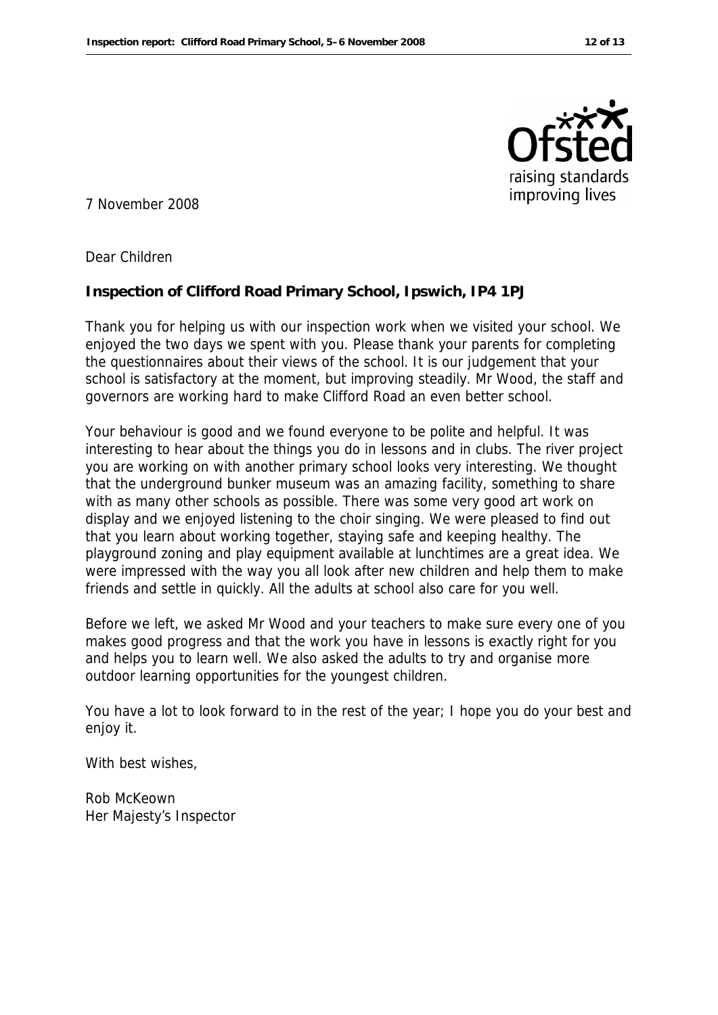

7 November 2008

Dear Children

**Inspection of Clifford Road Primary School, Ipswich, IP4 1PJ**

Thank you for helping us with our inspection work when we visited your school. We enjoyed the two days we spent with you. Please thank your parents for completing the questionnaires about their views of the school. It is our judgement that your school is satisfactory at the moment, but improving steadily. Mr Wood, the staff and governors are working hard to make Clifford Road an even better school.

Your behaviour is good and we found everyone to be polite and helpful. It was interesting to hear about the things you do in lessons and in clubs. The river project you are working on with another primary school looks very interesting. We thought that the underground bunker museum was an amazing facility, something to share with as many other schools as possible. There was some very good art work on display and we enjoyed listening to the choir singing. We were pleased to find out that you learn about working together, staying safe and keeping healthy. The playground zoning and play equipment available at lunchtimes are a great idea. We were impressed with the way you all look after new children and help them to make friends and settle in quickly. All the adults at school also care for you well.

Before we left, we asked Mr Wood and your teachers to make sure every one of you makes good progress and that the work you have in lessons is exactly right for you and helps you to learn well. We also asked the adults to try and organise more outdoor learning opportunities for the youngest children.

You have a lot to look forward to in the rest of the year; I hope you do your best and enjoy it.

With best wishes.

Rob McKeown Her Majesty's Inspector